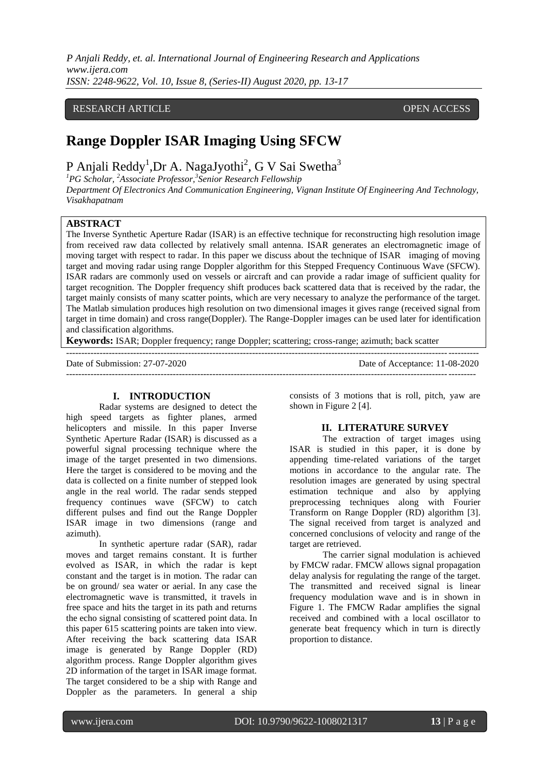*P Anjali Reddy, et. al. International Journal of Engineering Research and Applications www.ijera.com ISSN: 2248-9622, Vol. 10, Issue 8, (Series-II) August 2020, pp. 13-17*

# RESEARCH ARTICLE **CONSERVERS** OPEN ACCESS

# **Range Doppler ISAR Imaging Using SFCW**

P Anjali Reddy<sup>1</sup>,Dr A. NagaJyothi<sup>2</sup>, G V Sai Swetha<sup>3</sup>

*<sup>1</sup>PG Scholar, <sup>2</sup>Associate Professor,<sup>3</sup> Senior Research Fellowship Department Of Electronics And Communication Engineering, Vignan Institute Of Engineering And Technology, Visakhapatnam*

### **ABSTRACT**

The Inverse Synthetic Aperture Radar (ISAR) is an effective technique for reconstructing high resolution image from received raw data collected by relatively small antenna. ISAR generates an electromagnetic image of moving target with respect to radar. In this paper we discuss about the technique of ISAR imaging of moving target and moving radar using range Doppler algorithm for this Stepped Frequency Continuous Wave (SFCW). ISAR radars are commonly used on vessels or aircraft and can provide a radar image of sufficient quality for target recognition. The Doppler frequency shift produces back scattered data that is received by the radar, the target mainly consists of many scatter points, which are very necessary to analyze the performance of the target. The Matlab simulation produces high resolution on two dimensional images it gives range (received signal from target in time domain) and cross range(Doppler). The Range-Doppler images can be used later for identification and classification algorithms.

---------------------------------------------------------------------------------------------------------------------------------------

--------------------------------------------------------------------------------------------------------------------------------------

**Keywords:** ISAR; Doppler frequency; range Doppler; scattering; cross-range; azimuth; back scatter

Date of Submission: 27-07-2020 Date of Acceptance: 11-08-2020

#### **I. INTRODUCTION**

Radar systems are designed to detect the high speed targets as fighter planes, armed helicopters and missile. In this paper Inverse Synthetic Aperture Radar (ISAR) is discussed as a powerful signal processing technique where the image of the target presented in two dimensions. Here the target is considered to be moving and the data is collected on a finite number of stepped look angle in the real world. The radar sends stepped frequency continues wave (SFCW) to catch different pulses and find out the Range Doppler ISAR image in two dimensions (range and azimuth).

In synthetic aperture radar (SAR), radar moves and target remains constant. It is further evolved as ISAR, in which the radar is kept constant and the target is in motion. The radar can be on ground/ sea water or aerial. In any case the electromagnetic wave is transmitted, it travels in free space and hits the target in its path and returns the echo signal consisting of scattered point data. In this paper 615 scattering points are taken into view. After receiving the back scattering data ISAR image is generated by Range Doppler (RD) algorithm process. Range Doppler algorithm gives 2D information of the target in ISAR image format. The target considered to be a ship with Range and Doppler as the parameters. In general a ship

consists of 3 motions that is roll, pitch, yaw are shown in Figure 2 [4].

#### **II. LITERATURE SURVEY**

The extraction of target images using ISAR is studied in this paper, it is done by appending time-related variations of the target motions in accordance to the angular rate. The resolution images are generated by using spectral estimation technique and also by applying preprocessing techniques along with Fourier Transform on Range Doppler (RD) algorithm [3]. The signal received from target is analyzed and concerned conclusions of velocity and range of the target are retrieved.

The carrier signal modulation is achieved by FMCW radar. FMCW allows signal propagation delay analysis for regulating the range of the target. The transmitted and received signal is linear frequency modulation wave and is in shown in Figure 1. The FMCW Radar amplifies the signal received and combined with a local oscillator to generate beat frequency which in turn is directly proportion to distance.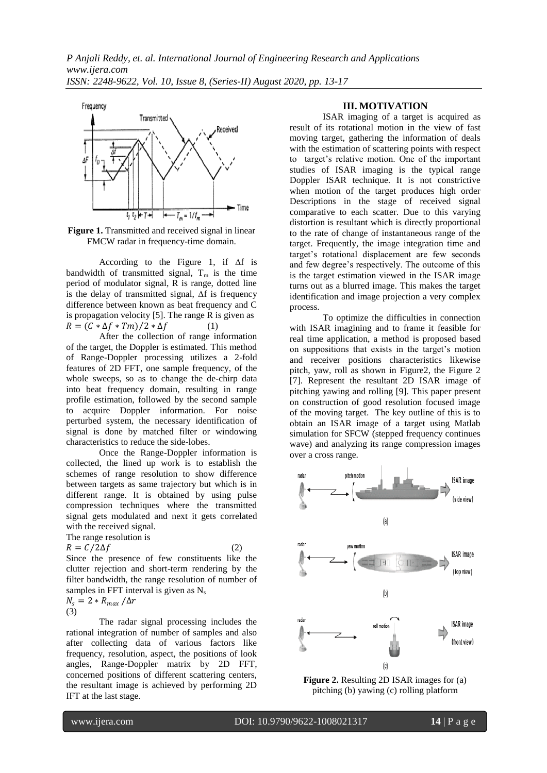

**Figure 1.** Transmitted and received signal in linear FMCW radar in frequency-time domain.

According to the Figure 1, if ∆f is bandwidth of transmitted signal,  $T_m$  is the time period of modulator signal, R is range, dotted line is the delay of transmitted signal, ∆f is frequency difference between known as beat frequency and C is propagation velocity [5]. The range R is given as  $R = (C * \Delta f * Tm) / 2 * \Delta f$  (1)

After the collection of range information of the target, the Doppler is estimated. This method of Range-Doppler processing utilizes a 2-fold features of 2D FFT, one sample frequency, of the whole sweeps, so as to change the de-chirp data into beat frequency domain, resulting in range profile estimation, followed by the second sample to acquire Doppler information. For noise perturbed system, the necessary identification of signal is done by matched filter or windowing characteristics to reduce the side-lobes.

Once the Range-Doppler information is collected, the lined up work is to establish the schemes of range resolution to show difference between targets as same trajectory but which is in different range. It is obtained by using pulse compression techniques where the transmitted signal gets modulated and next it gets correlated with the received signal.

The range resolution is  $R = C/2\Delta f$  (2)

$$
f_{\rm{max}}
$$

Since the presence of few constituents like the clutter rejection and short-term rendering by the filter bandwidth, the range resolution of number of samples in FFT interval is given as  $N_s$ 

$$
N_s = 2 * R_{max} / \Delta r
$$
  
(3)

The radar signal processing includes the rational integration of number of samples and also after collecting data of various factors like frequency, resolution, aspect, the positions of look angles, Range-Doppler matrix by 2D FFT, concerned positions of different scattering centers, the resultant image is achieved by performing 2D IFT at the last stage.

## **III. MOTIVATION**

ISAR imaging of a target is acquired as result of its rotational motion in the view of fast moving target, gathering the information of deals with the estimation of scattering points with respect to target's relative motion. One of the important studies of ISAR imaging is the typical range Doppler ISAR technique. It is not constrictive when motion of the target produces high order Descriptions in the stage of received signal comparative to each scatter. Due to this varying distortion is resultant which is directly proportional to the rate of change of instantaneous range of the target. Frequently, the image integration time and target's rotational displacement are few seconds and few degree's respectively. The outcome of this is the target estimation viewed in the ISAR image turns out as a blurred image. This makes the target identification and image projection a very complex process.

To optimize the difficulties in connection with ISAR imagining and to frame it feasible for real time application, a method is proposed based on suppositions that exists in the target's motion and receiver positions characteristics likewise pitch, yaw, roll as shown in Figure2, the Figure 2 [7]. Represent the resultant 2D ISAR image of pitching yawing and rolling [9]. This paper present on construction of good resolution focused image of the moving target. The key outline of this is to obtain an ISAR image of a target using Matlab simulation for SFCW (stepped frequency continues wave) and analyzing its range compression images over a cross range.



**Figure 2.** Resulting 2D ISAR images for (a) pitching (b) yawing (c) rolling platform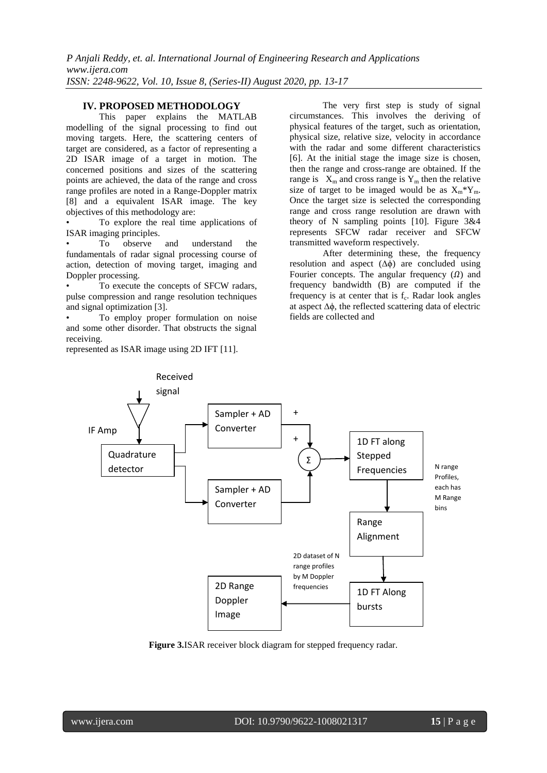## **IV. PROPOSED METHODOLOGY**

This paper explains the MATLAB modelling of the signal processing to find out moving targets. Here, the scattering centers of target are considered, as a factor of representing a 2D ISAR image of a target in motion. The concerned positions and sizes of the scattering points are achieved, the data of the range and cross range profiles are noted in a Range-Doppler matrix [8] and a equivalent ISAR image. The key objectives of this methodology are:

• To explore the real time applications of ISAR imaging principles.

To observe and understand the fundamentals of radar signal processing course of action, detection of moving target, imaging and Doppler processing.

To execute the concepts of SFCW radars, pulse compression and range resolution techniques and signal optimization [3].

• To employ proper formulation on noise and some other disorder. That obstructs the signal receiving.

represented as ISAR image using 2D IFT [11].

The very first step is study of signal circumstances. This involves the deriving of physical features of the target, such as orientation, physical size, relative size, velocity in accordance with the radar and some different characteristics [6]. At the initial stage the image size is chosen, then the range and cross-range are obtained. If the range is  $X_m$  and cross range is  $Y_m$  then the relative size of target to be imaged would be as  $X_m^*Y_m$ . Once the target size is selected the corresponding range and cross range resolution are drawn with theory of N sampling points [10]. Figure 3&4 represents SFCW radar receiver and SFCW transmitted waveform respectively.

After determining these, the frequency resolution and aspect (∆ϕ) are concluded using Fourier concepts. The angular frequency  $(\Omega)$  and frequency bandwidth (B) are computed if the frequency is at center that is  $f_c$ . Radar look angles at aspect ∆ϕ, the reflected scattering data of electric fields are collected and



**Figure 3.**ISAR receiver block diagram for stepped frequency radar.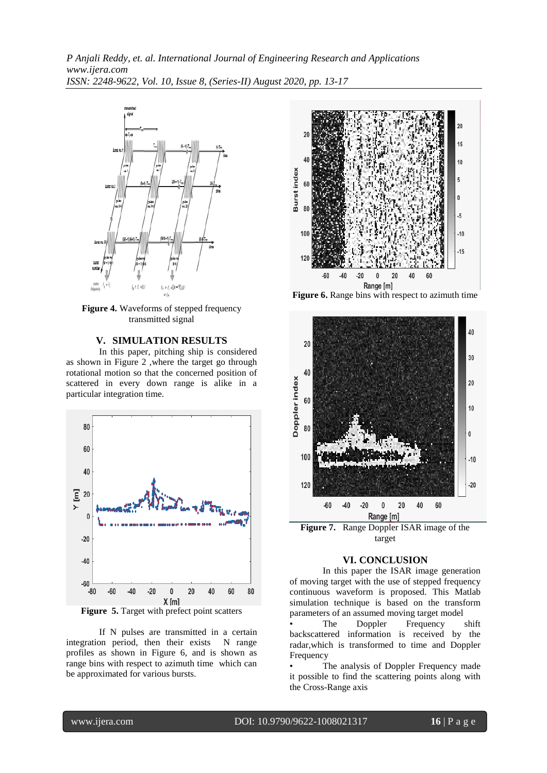*P Anjali Reddy, et. al. International Journal of Engineering Research and Applications www.ijera.com ISSN: 2248-9622, Vol. 10, Issue 8, (Series-II) August 2020, pp. 13-17*



**Figure 4.** Waveforms of stepped frequency transmitted signal

## **V. SIMULATION RESULTS**

In this paper, pitching ship is considered as shown in Figure 2 ,where the target go through rotational motion so that the concerned position of scattered in every down range is alike in a particular integration time.



**Figure 5.** Target with prefect point scatters

If N pulses are transmitted in a certain integration period, then their exists N range profiles as shown in Figure 6, and is shown as range bins with respect to azimuth time which can be approximated for various bursts.



**Figure 6.** Range bins with respect to azimuth time



target

## **VI. CONCLUSION**

In this paper the ISAR image generation of moving target with the use of stepped frequency continuous waveform is proposed. This Matlab simulation technique is based on the transform parameters of an assumed moving target model

The Doppler Frequency shift backscattered information is received by the radar,which is transformed to time and Doppler Frequency

The analysis of Doppler Frequency made it possible to find the scattering points along with the Cross-Range axis